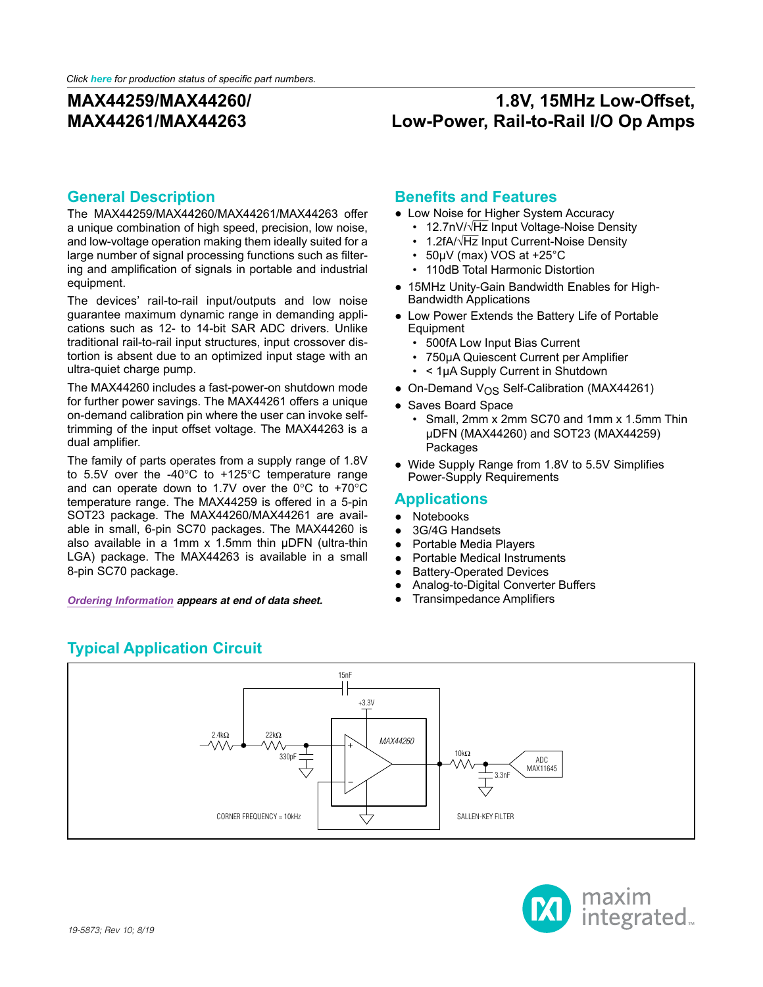## **1.8V, 15MHz Low-Offset, Low-Power, Rail-to-Rail I/O Op Amps**

#### **General Description**

The MAX44259/MAX44260/MAX44261/MAX44263 offer a unique combination of high speed, precision, low noise, and low-voltage operation making them ideally suited for a large number of signal processing functions such as filtering and amplification of signals in portable and industrial equipment.

The devices' rail-to-rail input/outputs and low noise guarantee maximum dynamic range in demanding applications such as 12- to 14-bit SAR ADC drivers. Unlike traditional rail-to-rail input structures, input crossover distortion is absent due to an optimized input stage with an ultra-quiet charge pump.

The MAX44260 includes a fast-power-on shutdown mode for further power savings. The MAX44261 offers a unique on-demand calibration pin where the user can invoke selftrimming of the input offset voltage. The MAX44263 is a dual amplifier.

The family of parts operates from a supply range of 1.8V to 5.5V over the -40 $^{\circ}$ C to +125 $^{\circ}$ C temperature range and can operate down to 1.7V over the  $0^{\circ}$ C to +70 $^{\circ}$ C temperature range. The MAX44259 is offered in a 5-pin SOT23 package. The MAX44260/MAX44261 are available in small, 6-pin SC70 packages. The MAX44260 is also available in a 1mm x 1.5mm thin µDFN (ultra-thin LGA) package. The MAX44263 is available in a small 8-pin SC70 package.

*[Ordering Information](#page-11-0) appears at end of data sheet.* ● Transimpedance Amplifiers

#### **Benefits and Features**

- Low Noise for Higher System Accuracy
	- 12.7nV/√Hz Input Voltage-Noise Density
	- 1.2fA/ $\sqrt{Hz}$  Input Current-Noise Density
	- 50µV (max) VOS at +25°C
	- 110dB Total Harmonic Distortion
- 15MHz Unity-Gain Bandwidth Enables for High-Bandwidth Applications
- Low Power Extends the Battery Life of Portable **Equipment** 
	- 500fA Low Input Bias Current
	- 750µA Quiescent Current per Amplifier
	- < 1µA Supply Current in Shutdown
- On-Demand  $V_{OS}$  Self-Calibration (MAX44261)
- Saves Board Space
	- Small, 2mm x 2mm SC70 and 1mm x 1.5mm Thin µDFN (MAX44260) and SOT23 (MAX44259) **Packages**
- Wide Supply Range from 1.8V to 5.5V Simplifies Power-Supply Requirements

#### **Applications**

- Notebooks
- 3G/4G Handsets
- Portable Media Players
- Portable Medical Instruments
- Battery-Operated Devices
- Analog-to-Digital Converter Buffers
- 

<span id="page-0-0"></span>

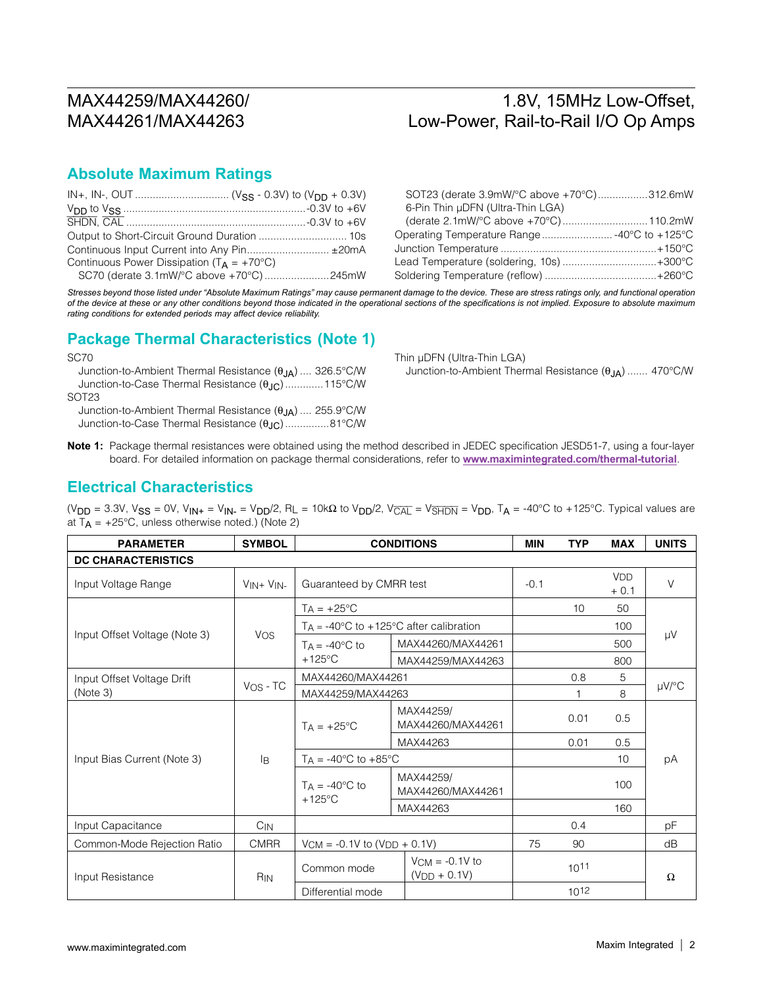### 1.8V, 15MHz Low-Offset, Low-Power, Rail-to-Rail I/O Op Amps

#### **Absolute Maximum Ratings**

|                                                       | Op  |
|-------------------------------------------------------|-----|
| Continuous Input Current into Any Pin ±20mA           | Jur |
| Continuous Power Dissipation ( $T_A = +70^{\circ}C$ ) | Lei |
|                                                       | So  |

| SOT23 (derate 3.9mW/°C above +70°C)312.6mW  |  |
|---------------------------------------------|--|
| 6-Pin Thin µDFN (Ultra-Thin LGA)            |  |
|                                             |  |
| Operating Temperature Range -40°C to +125°C |  |
|                                             |  |
| Lead Temperature (soldering, 10s) +300°C    |  |
|                                             |  |
|                                             |  |

*Stresses beyond those listed under "Absolute Maximum Ratings" may cause permanent damage to the device. These are stress ratings only, and functional operation of the device at these or any other conditions beyond those indicated in the operational sections of the specifications is not implied. Exposure to absolute maximum rating conditions for extended periods may affect device reliability.*

#### **Package Thermal Characteristics (Note 1)**

SC70 Junction-to-Ambient Thermal Resistance  $(\theta_{JA})$  .... 326.5°C/W Junction-to-Case Thermal Resistance ( $\theta_{JC}$ ).............115°C/W SOT23 Junction-to-Ambient Thermal Resistance  $(\theta_{JA})$  .... 255.9°C/W

Junction-to-Case Thermal Resistance ( $\theta_{JC}$ )...............81°C/W

Thin µDFN (Ultra-Thin LGA) Junction-to-Ambient Thermal Resistance  $(\theta_{JA})$  ....... 470°C/W

**Note 1:** Package thermal resistances were obtained using the method described in JEDEC specification JESD51-7, using a four-layer board. For detailed information on package thermal considerations, refer to **[www.maximintegrated.com/thermal-tutorial](http://www.maximintegrated.com/thermal-tutorial)**.

#### **Electrical Characteristics**

(V<sub>DD</sub> = 3.3V, V<sub>SS</sub> = 0V, V<sub>IN+</sub> = V<sub>IN-</sub> = V<sub>DD</sub>/2, R<sub>L</sub> = 10kΩ to V<sub>DD</sub>/2, V<sub>CAL</sub> = V<sub>SHDN</sub> = V<sub>DD</sub>, T<sub>A</sub> = -40°C to +125°C. Typical values are at  $T_A$  = +25°C, unless otherwise noted.) (Note 2)

| <b>PARAMETER</b>              | <b>SYMBOL</b>  | <b>CONDITIONS</b>                          |                                                           | <b>MIN</b> | <b>TYP</b> | <b>MAX</b>           | <b>UNITS</b> |
|-------------------------------|----------------|--------------------------------------------|-----------------------------------------------------------|------------|------------|----------------------|--------------|
| <b>DC CHARACTERISTICS</b>     |                |                                            |                                                           |            |            |                      |              |
| Input Voltage Range           | $VIN + VIN -$  | Guaranteed by CMRR test                    |                                                           | $-0.1$     |            | <b>VDD</b><br>$+0.1$ | $\vee$       |
|                               |                | $T_A = +25^{\circ}C$                       |                                                           |            | 10         | 50                   |              |
|                               |                |                                            | $T_A = -40^{\circ}C$ to $+125^{\circ}C$ after calibration |            |            | 100                  |              |
| Input Offset Voltage (Note 3) | <b>VOS</b>     | $TA = -40^{\circ}C$ to                     | MAX44260/MAX44261                                         |            |            | 500                  | $\mu$ V      |
|                               |                | $+125^{\circ}$ C                           | MAX44259/MAX44263                                         |            |            | 800                  |              |
| Input Offset Voltage Drift    |                | MAX44260/MAX44261                          |                                                           |            | 0.8        | 5                    |              |
| (Note 3)                      | $V_{OS}$ - TC  | MAX44259/MAX44263                          |                                                           |            |            | 8                    | µV/°C        |
|                               | l <sub>R</sub> | $TA = +25^{\circ}C$                        | MAX44259/<br>MAX44260/MAX44261                            |            | 0.01       | 0.5                  |              |
|                               |                |                                            | MAX44263                                                  |            | 0.01       | 0.5                  |              |
| Input Bias Current (Note 3)   |                | $T_A = -40^{\circ}C$ to $+85^{\circ}C$     |                                                           |            |            | 10                   | рA           |
|                               |                | $TA = -40^{\circ}C$ to<br>$+125^{\circ}$ C | MAX44259/<br>MAX44260/MAX44261                            |            |            | 100                  |              |
|                               |                |                                            | MAX44263                                                  |            |            | 160                  |              |
| Input Capacitance             | $C_{IN}$       |                                            |                                                           |            | 0.4        |                      | pF           |
| Common-Mode Rejection Ratio   | <b>CMRR</b>    | $VCM = -0.1V$ to $(VDD + 0.1V)$            |                                                           | 75         | 90         |                      | dB           |
| Input Resistance              | <b>RIN</b>     | Common mode                                | $V_{\text{CM}} = -0.1V$ to<br>$(V_{DD} + 0.1V)$           | 1011       |            |                      | $\Omega$     |
|                               |                | Differential mode                          |                                                           |            | $10^{12}$  |                      |              |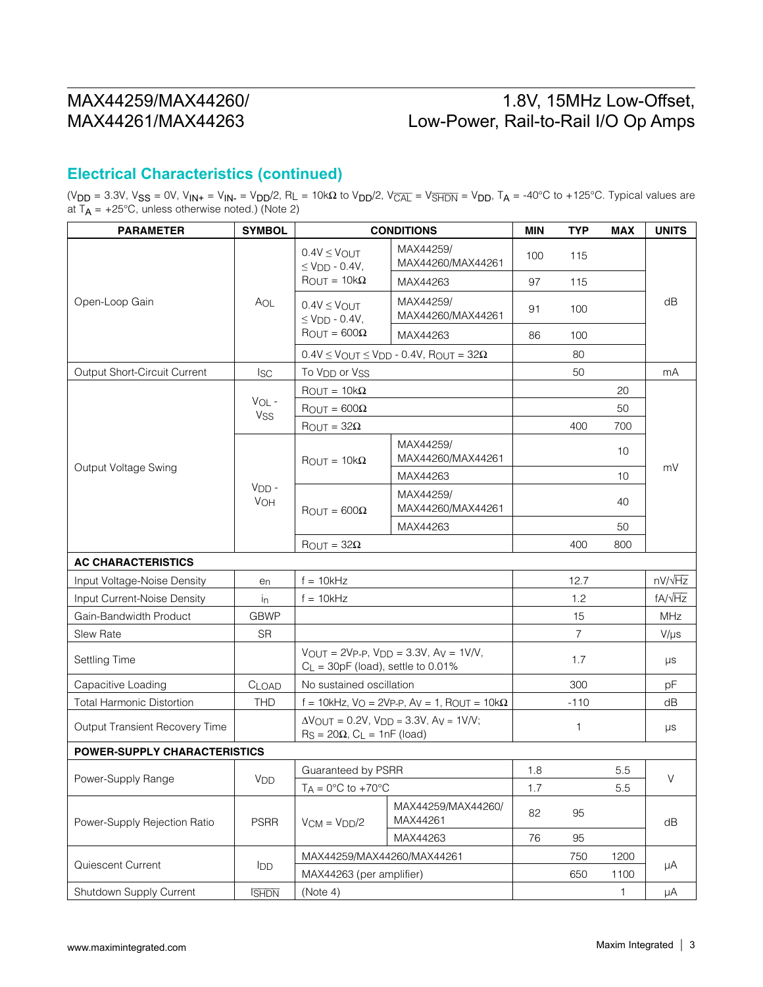## 1.8V, 15MHz Low-Offset, Low-Power, Rail-to-Rail I/O Op Amps

#### **Electrical Characteristics (continued)**

(V<sub>DD</sub> = 3.3V, V<sub>SS</sub> = 0V, V<sub>IN+</sub> = V<sub>IN-</sub> = V<sub>DD</sub>/2, R<sub>L</sub> = 10kΩ to V<sub>DD</sub>/2, V<sub>CAL</sub> = V<sub>SHDN</sub> = V<sub>DD</sub>, T<sub>A</sub> = -40°C to +125°C. Typical values are at T<sub>A</sub> = +25°C, unless otherwise noted.) (Note 2)

| <b>PARAMETER</b>                    | <b>SYMBOL</b>   |                                                                                | <b>CONDITIONS</b>                                                        | <b>MIN</b> | <b>TYP</b>     | <b>MAX</b> | <b>UNITS</b>   |  |
|-------------------------------------|-----------------|--------------------------------------------------------------------------------|--------------------------------------------------------------------------|------------|----------------|------------|----------------|--|
| Open-Loop Gain                      |                 | $0.4V \leq V_{\text{OUT}}$<br>$\leq$ VDD - 0.4V,                               | MAX44259/<br>MAX44260/MAX44261                                           | 100        | 115            |            |                |  |
|                                     |                 | $\text{ROUT} = 10\text{k}\Omega$                                               | MAX44263                                                                 | 97         | 115            |            |                |  |
|                                     | AOL             | $0.4V \leq V$ OUT<br>$\leq$ V <sub>DD</sub> - 0.4V,                            | MAX44259/<br>MAX44260/MAX44261                                           | 91         | 100            |            | dB             |  |
|                                     |                 | $\text{ROUT} = 600\Omega$                                                      | MAX44263                                                                 | 86         | 100            |            |                |  |
|                                     |                 |                                                                                | $0.4V \leq$ VOUT $\leq$ VDD - 0.4V, ROUT = 32 $\Omega$                   |            | 80             |            |                |  |
| Output Short-Circuit Current        | <b>ISC</b>      | To V <sub>DD</sub> or V <sub>SS</sub>                                          |                                                                          |            | 50             |            | mA             |  |
|                                     |                 | $\text{ROUT} = 10\text{k}\Omega$                                               |                                                                          |            |                | 20         |                |  |
|                                     | $VOL -$         | $\text{ROUT} = 600\Omega$                                                      |                                                                          |            |                | 50         |                |  |
|                                     | Vss             | $\text{ROUT} = 32\Omega$                                                       |                                                                          |            | 400            | 700        |                |  |
|                                     |                 | $\text{ROUT} = 10\text{k}\Omega$                                               | MAX44259/<br>MAX44260/MAX44261                                           |            |                | 10         |                |  |
| Output Voltage Swing                |                 |                                                                                | MAX44263                                                                 |            |                | 10         | mV             |  |
|                                     | $VDD$ -<br>VOH  | $\text{ROUT} = 600\Omega$                                                      | MAX44259/<br>MAX44260/MAX44261                                           |            |                | 40         |                |  |
|                                     |                 |                                                                                | MAX44263                                                                 |            |                | 50         |                |  |
|                                     |                 | $\text{ROUT} = 32\Omega$                                                       |                                                                          |            | 400            | 800        |                |  |
| <b>AC CHARACTERISTICS</b>           |                 |                                                                                |                                                                          |            |                |            |                |  |
| Input Voltage-Noise Density         | e <sub>n</sub>  | $f = 10kHz$                                                                    |                                                                          |            | 12.7           |            | $nV/\sqrt{Hz}$ |  |
| Input Current-Noise Density         | İņ              | $f = 10kHz$                                                                    |                                                                          |            | 1.2            |            | $fA/\sqrt{Hz}$ |  |
| Gain-Bandwidth Product              | <b>GBWP</b>     |                                                                                |                                                                          |            | 15             |            | <b>MHz</b>     |  |
| Slew Rate                           | <b>SR</b>       |                                                                                |                                                                          |            | $\overline{7}$ |            | $V/\mu s$      |  |
| Settling Time                       |                 | $VOUT = 2VP-P, VDD = 3.3V, AV = 1V/V,$<br>$C_L$ = 30pF (load), settle to 0.01% |                                                                          |            | 1.7            |            | μs             |  |
| Capacitive Loading                  | CLOAD           | No sustained oscillation                                                       |                                                                          |            | 300            |            | pF             |  |
| <b>Total Harmonic Distortion</b>    | <b>THD</b>      | f = 10kHz, $V_Q$ = 2Vp-p, $Av = 1$ , $R_{OUT} = 10k\Omega$                     |                                                                          |            | $-110$         |            | dB             |  |
| Output Transient Recovery Time      |                 | $\text{Rs} = 20\Omega$ , $\text{CL} = 1\text{nF}$ (load)                       | $\Delta V_{\text{OUT}} = 0.2V$ , $V_{\text{DD}} = 3.3V$ , $A_V = 1V/V$ ; |            | $\mathbf{1}$   |            | μs             |  |
| <b>POWER-SUPPLY CHARACTERISTICS</b> |                 |                                                                                |                                                                          |            |                |            |                |  |
|                                     |                 | Guaranteed by PSRR                                                             |                                                                          | 1.8        |                | 5.5        |                |  |
| Power-Supply Range                  | V <sub>DD</sub> | $TA = 0^\circ C$ to $+70^\circ C$                                              |                                                                          | 1.7        |                | 5.5        | V              |  |
| Power-Supply Rejection Ratio        | <b>PSRR</b>     | $VCM = VDD/2$                                                                  | MAX44259/MAX44260/<br>MAX44261                                           | 82         | 95             |            | dB             |  |
|                                     |                 |                                                                                | MAX44263                                                                 | 76         | 95             |            |                |  |
|                                     |                 | MAX44259/MAX44260/MAX44261                                                     |                                                                          |            | 750            | 1200       |                |  |
| Quiescent Current                   | <b>I</b> DD     | MAX44263 (per amplifier)                                                       |                                                                          |            | 650            | 1100       | μA             |  |
| Shutdown Supply Current             | <b>ISHDN</b>    | (Note 4)                                                                       |                                                                          |            |                | 1.         | μA             |  |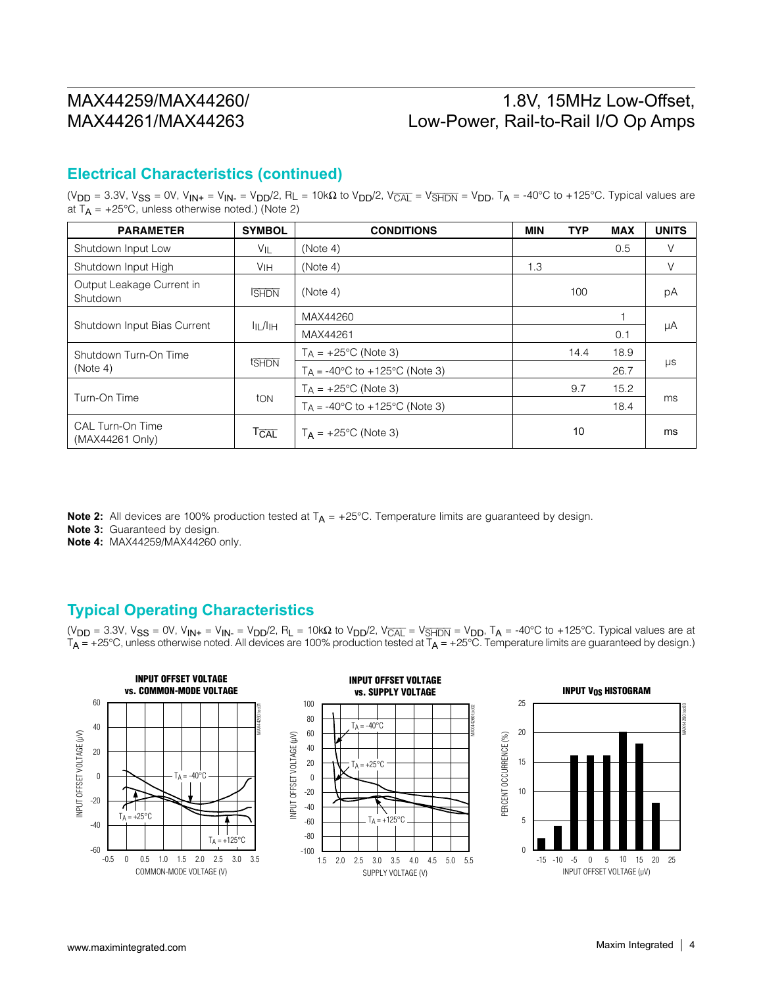### 1.8V, 15MHz Low-Offset, Low-Power, Rail-to-Rail I/O Op Amps

#### **Electrical Characteristics (continued)**

(V<sub>DD</sub> = 3.3V, V<sub>SS</sub> = 0V, V<sub>IN+</sub> = V<sub>IN-</sub> = V<sub>DD</sub>/2, R<sub>L</sub> = 10kΩ to V<sub>DD</sub>/2, V<sub>CAL</sub> = V<sub>SHDN</sub> = V<sub>DD</sub>, T<sub>A</sub> = -40°C to +125°C. Typical values are at  $T_A$  = +25°C, unless otherwise noted.) (Note 2)

| <b>PARAMETER</b>                      | <b>SYMBOL</b>        | <b>CONDITIONS</b>                                | <b>MIN</b> | <b>TYP</b> | <b>MAX</b> | <b>UNITS</b> |  |
|---------------------------------------|----------------------|--------------------------------------------------|------------|------------|------------|--------------|--|
| Shutdown Input Low                    | $V_{IL}$             | (Note 4)                                         |            |            | 0.5        |              |  |
| Shutdown Input High                   | VIH                  | (Note 4)                                         | 1.3        |            |            | V            |  |
| Output Leakage Current in<br>Shutdown | <b>SHDN</b>          | (Note 4)                                         |            | 100        |            | рA           |  |
| Shutdown Input Bias Current           | $I_{II}$ $I_{II}$    | MAX44260                                         |            |            |            |              |  |
|                                       |                      | MAX44261                                         |            |            | 0.1        | μA           |  |
| Shutdown Turn-On Time                 |                      | $TA = +25^{\circ}C$ (Note 3)                     |            | 14.4       | 18.9       |              |  |
| (Note 4)                              | tshon                | $T_A = -40^{\circ}C$ to $+125^{\circ}C$ (Note 3) |            |            | 26.7       | μs           |  |
|                                       | ton                  | $TA = +25^{\circ}C$ (Note 3)                     |            | 9.7        | 15.2       | ms           |  |
| Turn-On Time                          |                      | $T_A = -40^{\circ}C$ to $+125^{\circ}C$ (Note 3) |            |            | 18.4       |              |  |
| CAL Turn-On Time<br>(MAX44261 Only)   | $T_{\overline{CAL}}$ | $T_{\rm A}$ = +25°C (Note 3)                     |            | 10         |            | ms           |  |

**Note 2:** All devices are 100% production tested at  $T_A = +25^{\circ}$ C. Temperature limits are guaranteed by design.

**Note 3:** Guaranteed by design.

**Note 4:** MAX44259/MAX44260 only.

#### **Typical Operating Characteristics**

(V<sub>DD</sub> = 3.3V, V<sub>SS</sub> = 0V, V<sub>IN+</sub> = V<sub>IN-</sub> = V<sub>DD</sub>/2, R<sub>L</sub> = 10kΩ to V<sub>DD</sub>/2, V<sub>CAL</sub> = V<sub>SHDN</sub> = V<sub>DD</sub>, T<sub>A</sub> = -40°C to +125°C. Typical values are at  $T_A$  = +25°C, unless otherwise noted. All devices are 100% production tested at  $T_A$  = +25°C. Temperature limits are guaranteed by design.)

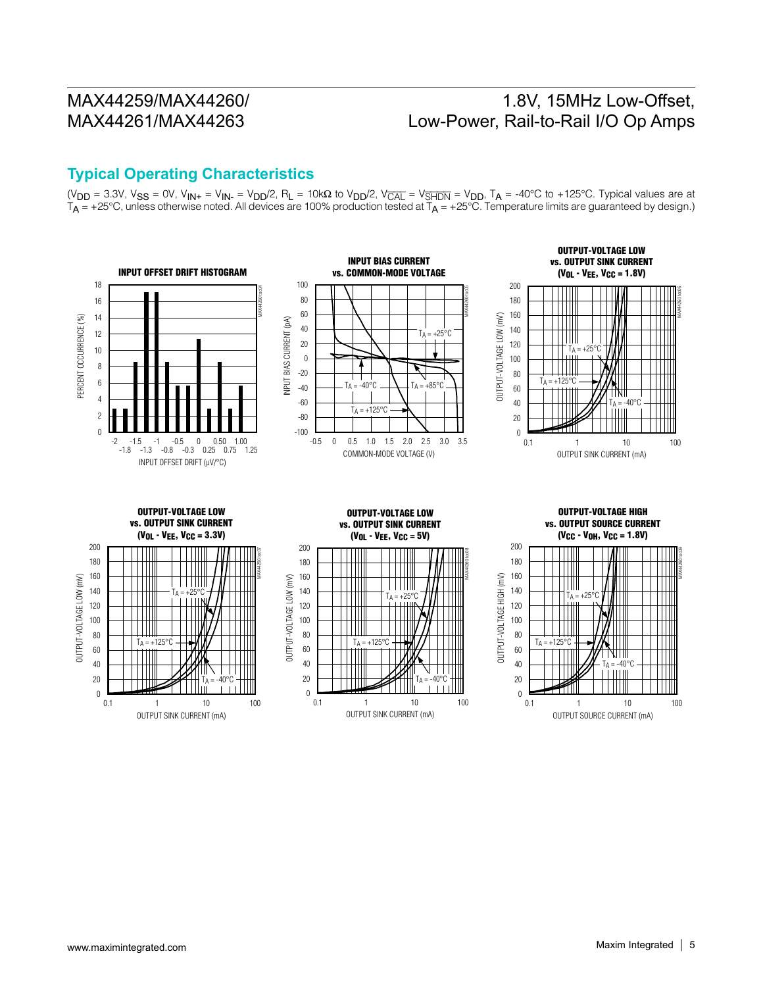### 1.8V, 15MHz Low-Offset, Low-Power, Rail-to-Rail I/O Op Amps

#### **Typical Operating Characteristics**

( $V_{DD}$  = 3.3V,  $V_{SS}$  = 0V,  $V_{IN+}$  =  $V_{IN-}$  =  $V_{DD}/2$ ,  $R_L$  = 10k $\Omega$  to  $V_{DD}/2$ ,  $V_{\overline{CAL}}$  =  $V_{\overline{S HDN}}$  =  $V_{DD}$ ,  $T_A$  = -40°C to +125°C. Typical values are at  $T_A$  = +25°C, unless otherwise noted. All devices are 100% production tested at  $T_A$  = +25°C. Temperature limits are guaranteed by design.)

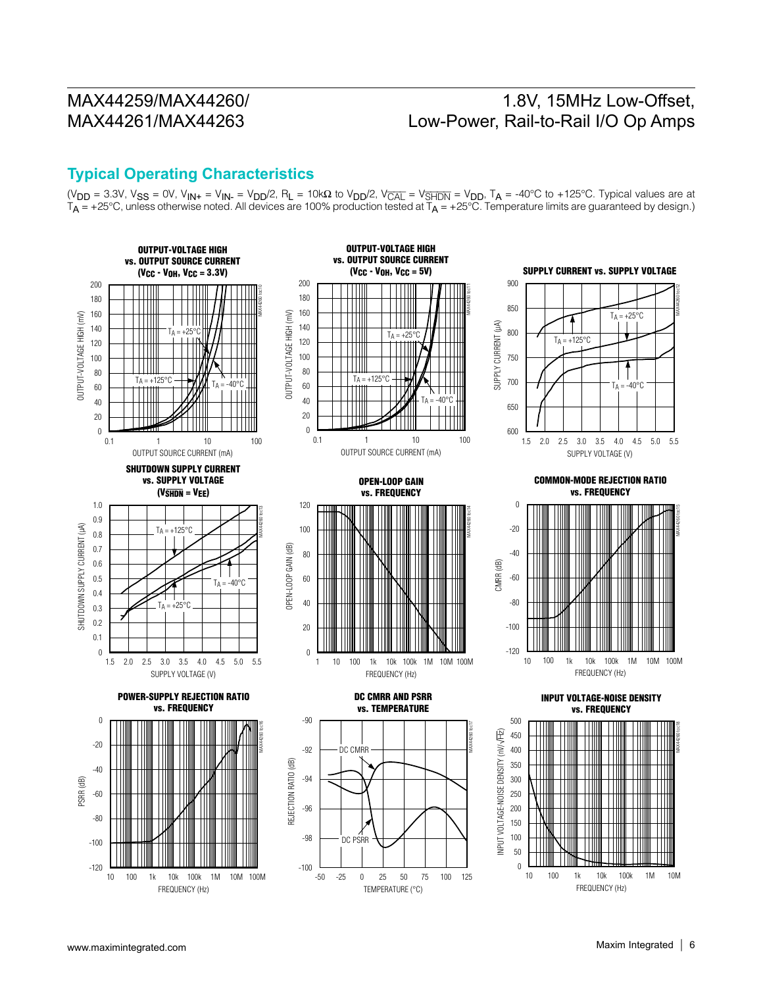### 1.8V, 15MHz Low-Offset, Low-Power, Rail-to-Rail I/O Op Amps

#### **Typical Operating Characteristics**

( $V_{DD}$  = 3.3V,  $V_{SS}$  = 0V,  $V_{IN+}$  =  $V_{IN-}$  =  $V_{DD}/2$ ,  $R_L$  = 10k $\Omega$  to  $V_{DD}/2$ ,  $V_{\overline{CAL}}$  =  $V_{\overline{S HDN}}$  =  $V_{DD}$ ,  $T_A$  = -40°C to +125°C. Typical values are at  $T_A$  = +25°C, unless otherwise noted. All devices are 100% production tested at  $T_A$  = +25°C. Temperature limits are guaranteed by design.)

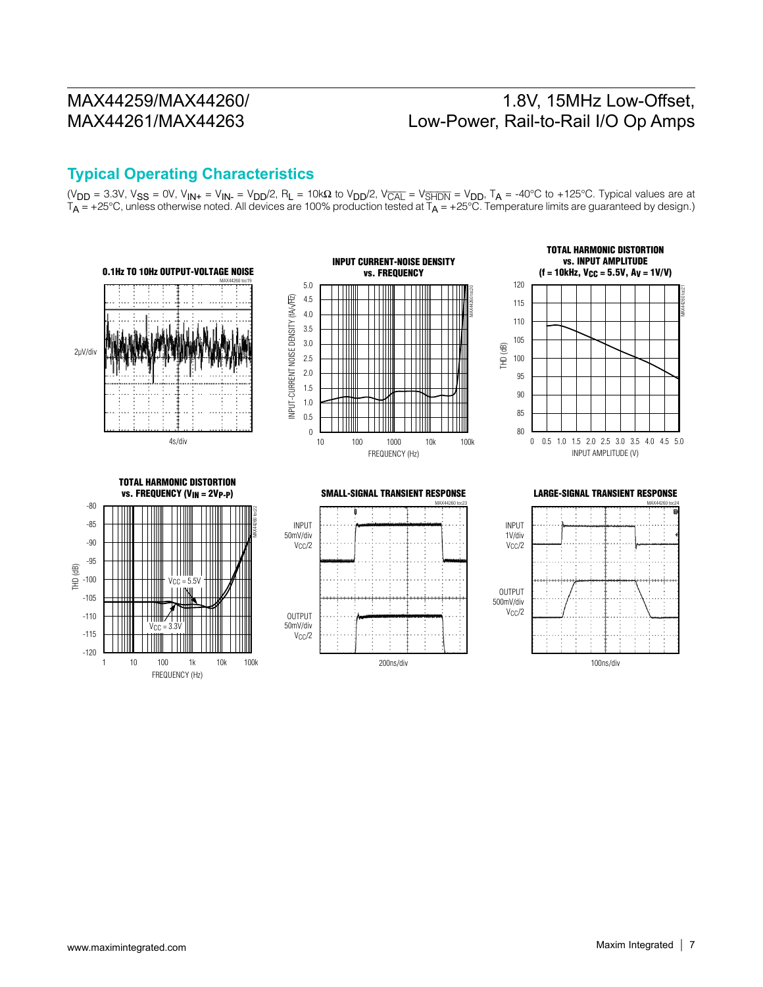## 1.8V, 15MHz Low-Offset, Low-Power, Rail-to-Rail I/O Op Amps

#### **Typical Operating Characteristics**

(V<sub>DD</sub> = 3.3V, V<sub>SS</sub> = 0V, V<sub>IN+</sub> = V<sub>IN-</sub> = V<sub>DD</sub>/2, R<sub>L</sub> = 10kΩ to V<sub>DD</sub>/2, V<sub>CAL</sub> = V<sub>SHDN</sub> = V<sub>DD</sub>, T<sub>A</sub> = -40°C to +125°C. Typical values are at  $T_{\sf A}$  = +25°C, unless otherwise noted. All devices are 100% production tested at  $T_{\sf A}$  = +25°C. Temperature limits are guaranteed by design.)

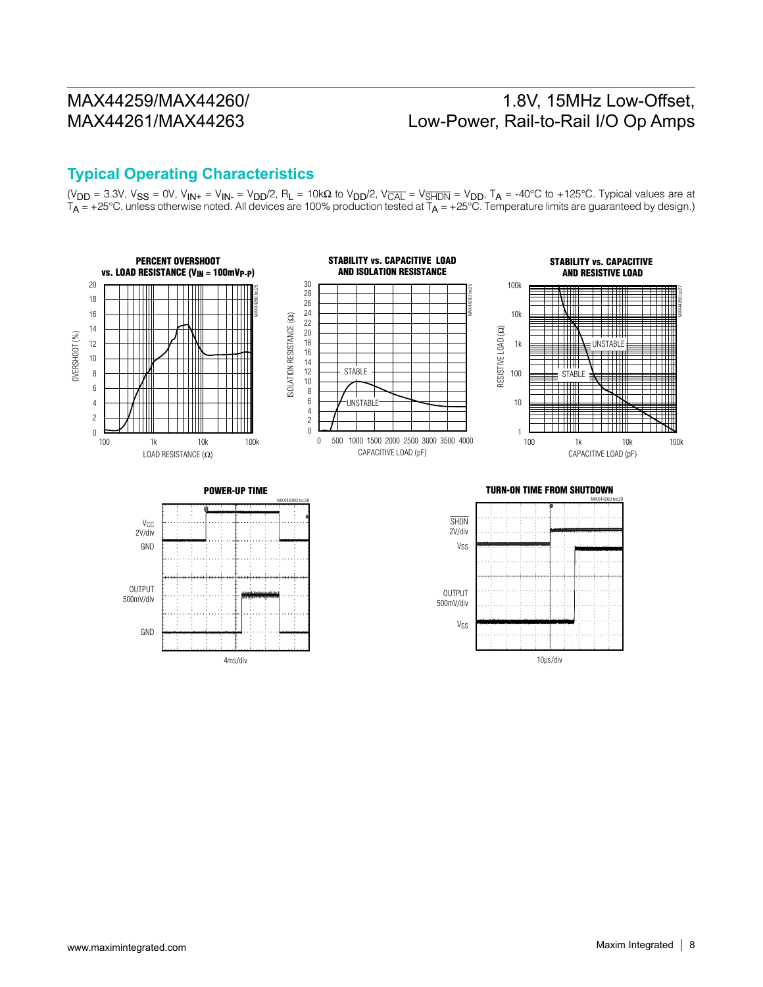## 1.8V, 15MHz Low-Offset, Low-Power, Rail-to-Rail I/O Op Amps

#### **Typical Operating Characteristics**

4ms/div

(V<sub>DD</sub> = 3.3V, V<sub>SS</sub> = 0V, V<sub>IN+</sub> = V<sub>IN-</sub> = V<sub>DD</sub>/2, R<sub>L</sub> = 10kΩ to V<sub>DD</sub>/2, V<sub>CAL</sub> = V<sub>SHDN</sub> = V<sub>DD</sub>, T<sub>A</sub> = -40°C to +125°C. Typical values are at  $T_{\sf A}$  = +25°C, unless otherwise noted. All devices are 100% production tested at  $T_{\sf A}$  = +25°C. Temperature limits are guaranteed by design.)



10µs/div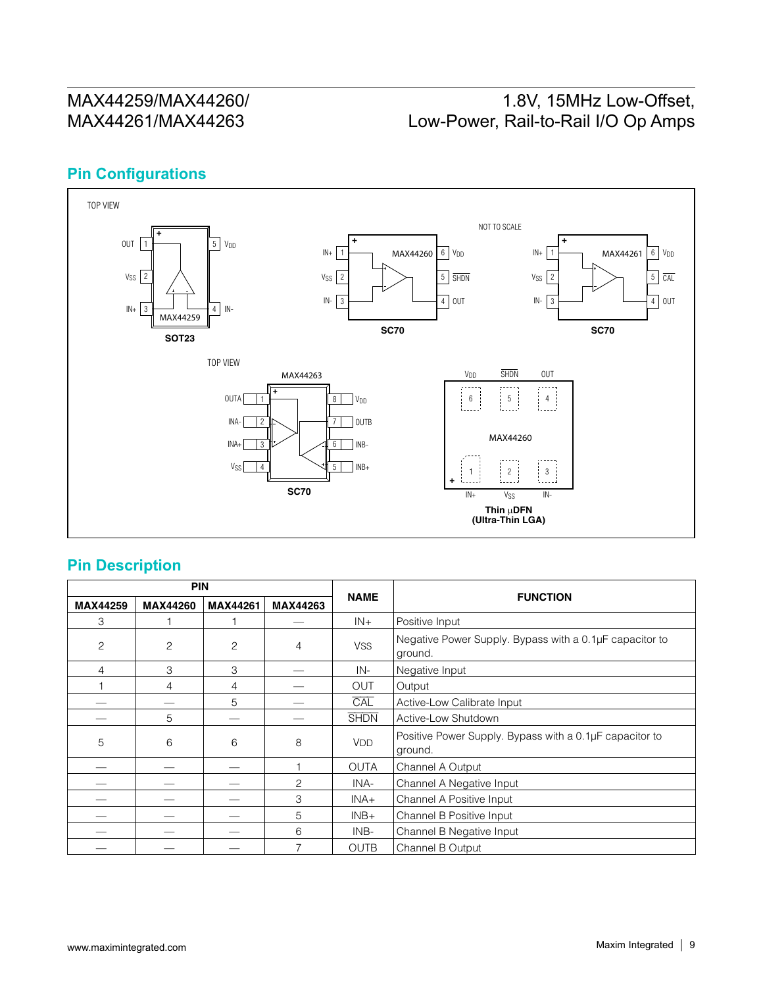## 1.8V, 15MHz Low-Offset, Low-Power, Rail-to-Rail I/O Op Amps

#### **Pin Configurations**



#### **Pin Description**

| <b>PIN</b> |                 |          |                |             |                                                                    |
|------------|-----------------|----------|----------------|-------------|--------------------------------------------------------------------|
| MAX44259   | <b>MAX44260</b> | MAX44261 | MAX44263       | <b>NAME</b> | <b>FUNCTION</b>                                                    |
| 3          |                 |          |                | $IN +$      | Positive Input                                                     |
| 2          | $\overline{c}$  | 2        | 4              | <b>VSS</b>  | Negative Power Supply. Bypass with a 0.1µF capacitor to<br>ground. |
| 4          | 3               | 3        |                | IN-         | Negative Input                                                     |
|            | 4               | 4        |                | <b>OUT</b>  | Output                                                             |
|            |                 | 5        |                | CAL         | Active-Low Calibrate Input                                         |
|            | 5               |          |                | <b>SHDN</b> | Active-Low Shutdown                                                |
| 5          | 6               | 6        | 8              | <b>VDD</b>  | Positive Power Supply. Bypass with a 0.1µF capacitor to<br>ground. |
|            |                 |          |                | <b>OUTA</b> | Channel A Output                                                   |
|            |                 |          | 2              | INA-        | Channel A Negative Input                                           |
|            |                 |          | З              | $INA+$      | Channel A Positive Input                                           |
|            |                 |          | 5              | $INB+$      | Channel B Positive Input                                           |
|            |                 |          | 6              | INB-        | Channel B Negative Input                                           |
|            |                 |          | $\overline{ }$ | <b>OUTB</b> | Channel B Output                                                   |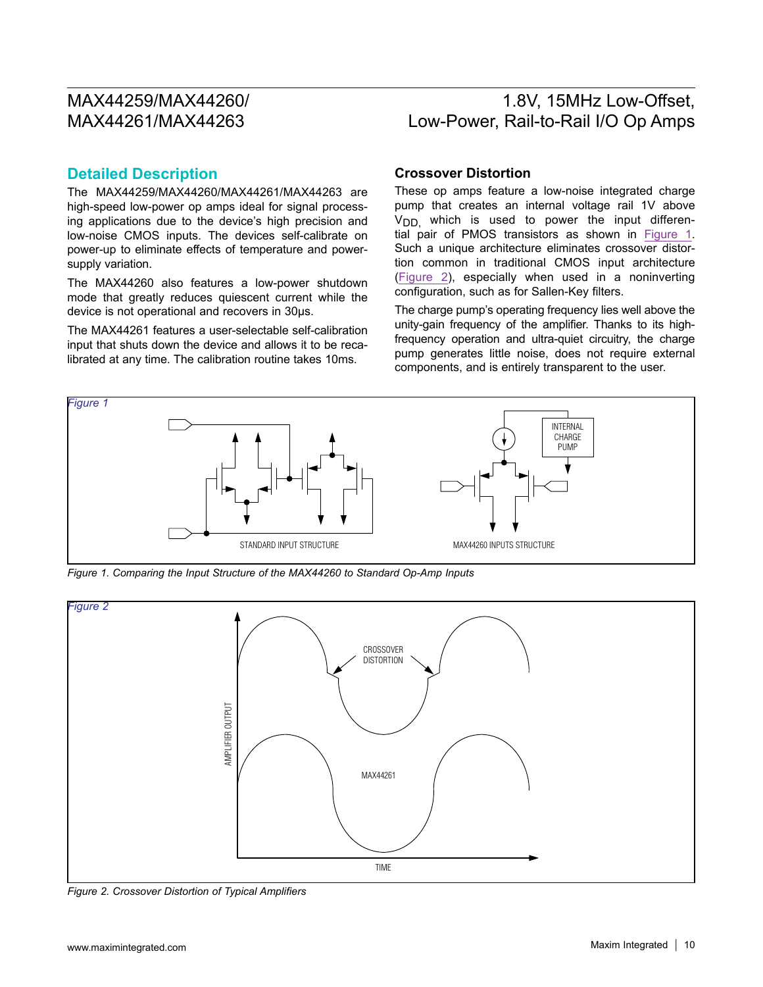### 1.8V, 15MHz Low-Offset, Low-Power, Rail-to-Rail I/O Op Amps

#### **Detailed Description**

The MAX44259/MAX44260/MAX44261/MAX44263 are high-speed low-power op amps ideal for signal processing applications due to the device's high precision and low-noise CMOS inputs. The devices self-calibrate on power-up to eliminate effects of temperature and powersupply variation.

The MAX44260 also features a low-power shutdown mode that greatly reduces quiescent current while the device is not operational and recovers in 30µs.

The MAX44261 features a user-selectable self-calibration input that shuts down the device and allows it to be recalibrated at any time. The calibration routine takes 10ms.

#### **Crossover Distortion**

These op amps feature a low-noise integrated charge pump that creates an internal voltage rail 1V above  $V<sub>DD</sub>$  which is used to power the input differential pair of PMOS transistors as shown in [Figure 1](#page-9-0). Such a unique architecture eliminates crossover distortion common in traditional CMOS input architecture ([Figure 2\)](#page-9-1), especially when used in a noninverting configuration, such as for Sallen-Key filters.

The charge pump's operating frequency lies well above the unity-gain frequency of the amplifier. Thanks to its highfrequency operation and ultra-quiet circuitry, the charge pump generates little noise, does not require external components, and is entirely transparent to the user.

<span id="page-9-0"></span>

*Figure 1. Comparing the Input Structure of the MAX44260 to Standard Op-Amp Inputs*

<span id="page-9-1"></span>

*Figure 2. Crossover Distortion of Typical Amplifiers*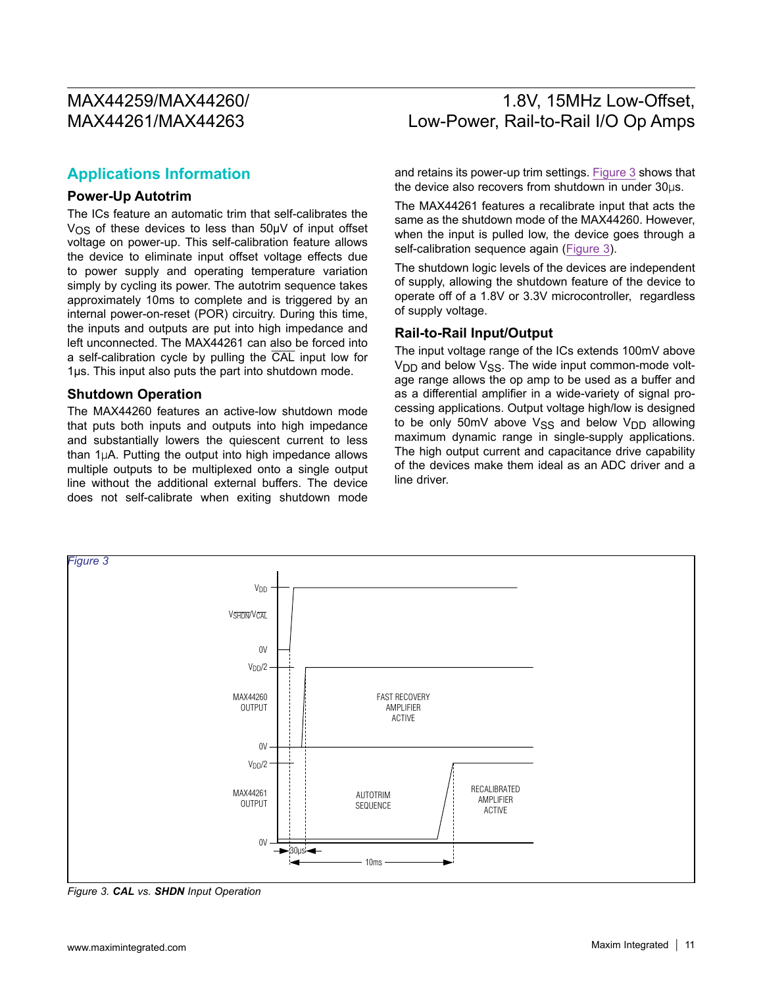### 1.8V, 15MHz Low-Offset, Low-Power, Rail-to-Rail I/O Op Amps

#### **Applications Information**

#### **Power-Up Autotrim**

The ICs feature an automatic trim that self-calibrates the V<sub>OS</sub> of these devices to less than 50µV of input offset voltage on power-up. This self-calibration feature allows the device to eliminate input offset voltage effects due to power supply and operating temperature variation simply by cycling its power. The autotrim sequence takes approximately 10ms to complete and is triggered by an internal power-on-reset (POR) circuitry. During this time, the inputs and outputs are put into high impedance and left unconnected. The MAX44261 can also be forced into a self-calibration cycle by pulling the CAL input low for 1µs. This input also puts the part into shutdown mode.

#### **Shutdown Operation**

The MAX44260 features an active-low shutdown mode that puts both inputs and outputs into high impedance and substantially lowers the quiescent current to less than  $1\mu$ A. Putting the output into high impedance allows multiple outputs to be multiplexed onto a single output line without the additional external buffers. The device does not self-calibrate when exiting shutdown mode and retains its power-up trim settings. [Figure 3](#page-10-0) shows that the device also recovers from shutdown in under  $30\mu s$ .

The MAX44261 features a recalibrate input that acts the same as the shutdown mode of the MAX44260. However, when the input is pulled low, the device goes through a self-calibration sequence again [\(Figure 3](#page-10-0)).

The shutdown logic levels of the devices are independent of supply, allowing the shutdown feature of the device to operate off of a 1.8V or 3.3V microcontroller, regardless of supply voltage.

#### **Rail-to-Rail Input/Output**

The input voltage range of the ICs extends 100mV above  $V<sub>DD</sub>$  and below  $V<sub>SS</sub>$ . The wide input common-mode voltage range allows the op amp to be used as a buffer and as a differential amplifier in a wide-variety of signal processing applications. Output voltage high/low is designed to be only 50mV above  $V_{SS}$  and below  $V_{DD}$  allowing maximum dynamic range in single-supply applications. The high output current and capacitance drive capability of the devices make them ideal as an ADC driver and a line driver.

<span id="page-10-0"></span>

*Figure 3. CAL vs. SHDN Input Operation*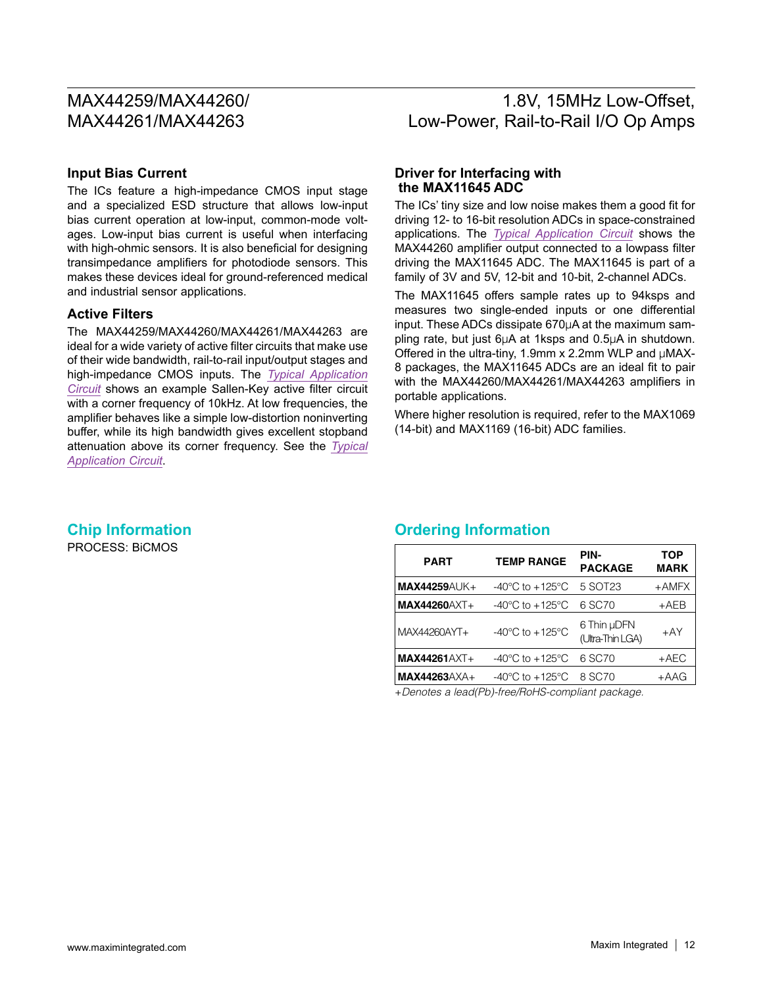### 1.8V, 15MHz Low-Offset, Low-Power, Rail-to-Rail I/O Op Amps

#### **Input Bias Current**

The ICs feature a high-impedance CMOS input stage and a specialized ESD structure that allows low-input bias current operation at low-input, common-mode voltages. Low-input bias current is useful when interfacing with high-ohmic sensors. It is also beneficial for designing transimpedance amplifiers for photodiode sensors. This makes these devices ideal for ground-referenced medical and industrial sensor applications.

#### **Active Filters**

The MAX44259/MAX44260/MAX44261/MAX44263 are ideal for a wide variety of active filter circuits that make use of their wide bandwidth, rail-to-rail input/output stages and high-impedance CMOS inputs. The *[Typical Application](#page-0-0) [Circuit](#page-0-0)* shows an example Sallen-Key active filter circuit with a corner frequency of 10kHz. At low frequencies, the amplifier behaves like a simple low-distortion noninverting buffer, while its high bandwidth gives excellent stopband attenuation above its corner frequency. See the *[Typical](#page-0-0) [Application Circuit](#page-0-0)*.

#### **Driver for Interfacing with the MAX11645 ADC**

The ICs' tiny size and low noise makes them a good fit for driving 12- to 16-bit resolution ADCs in space-constrained applications. The *[Typical Application Circuit](#page-0-0)* shows the MAX44260 amplifier output connected to a lowpass filter driving the MAX11645 ADC. The MAX11645 is part of a family of 3V and 5V, 12-bit and 10-bit, 2-channel ADCs.

The MAX11645 offers sample rates up to 94ksps and measures two single-ended inputs or one differential input. These ADCs dissipate  $670\mu$ A at the maximum sampling rate, but just  $6\mu A$  at 1ksps and 0.5 $\mu A$  in shutdown. Offered in the ultra-tiny, 1.9mm x 2.2mm WLP and  $\mu$ MAX-8 packages, the MAX11645 ADCs are an ideal fit to pair with the MAX44260/MAX44261/MAX44263 amplifiers in portable applications.

Where higher resolution is required, refer to the MAX1069 (14-bit) and MAX1169 (16-bit) ADC families.

# PROCESS: BiCMOS

#### **Chip Information Ordering Information**

<span id="page-11-0"></span>

| <b>PART</b>         | <b>TEMP RANGE</b>                     | PIN-<br><b>PACKAGE</b>          | <b>TOP</b><br><b>MARK</b> |
|---------------------|---------------------------------------|---------------------------------|---------------------------|
| <b>MAX44259AUK+</b> | $-40^{\circ}$ C to $+125^{\circ}$ C   | 5 SOT23                         | $+AMFX$                   |
| <b>MAX44260AXT+</b> | -40 $^{\circ}$ C to +125 $^{\circ}$ C | 6 SC70                          | $+AEB$                    |
| MAX44260AYT+        | -40 $^{\circ}$ C to +125 $^{\circ}$ C | 6 Thin µDFN<br>(Ultra-Thin LGA) | $+AY$                     |
| <b>MAX44261AXT+</b> | $-40^{\circ}$ C to $+125^{\circ}$ C   | 6 SC70                          | $+AEC$                    |
| <b>MAX44263AXA+</b> | $-40^{\circ}$ C to $+125^{\circ}$ C   | 8 SC70                          | $+AAG$                    |

+*Denotes a lead(Pb)-free/RoHS-compliant package.*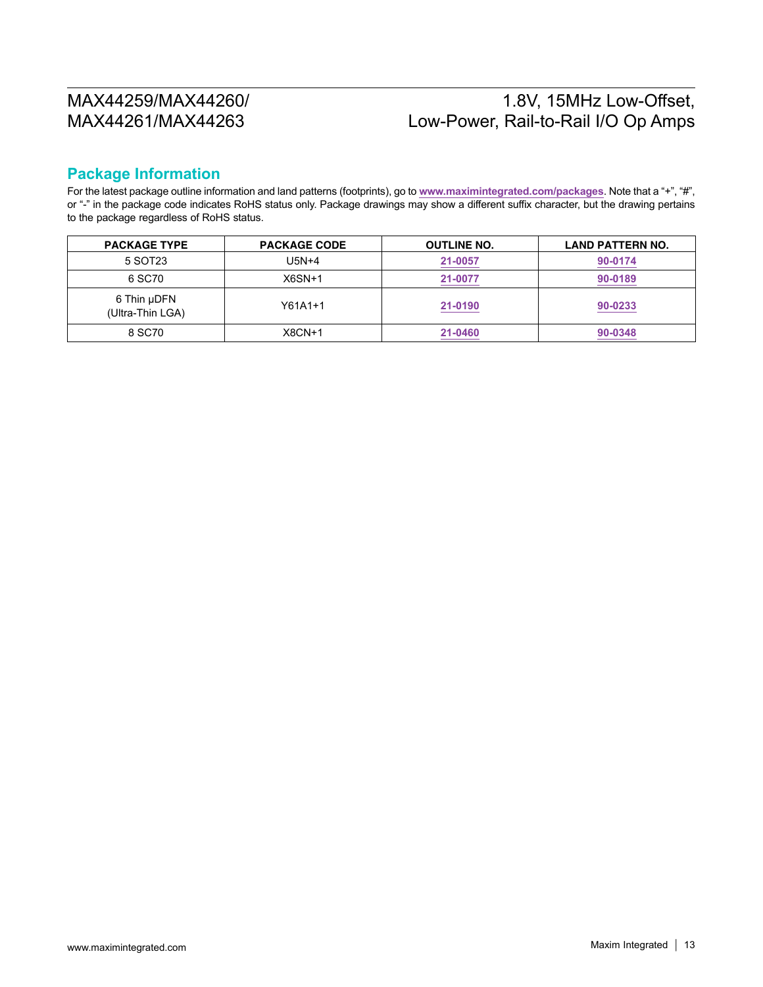## 1.8V, 15MHz Low-Offset, Low-Power, Rail-to-Rail I/O Op Amps

#### **Package Information**

For the latest package outline information and land patterns (footprints), go to **[www.maximintegrated.com/packages](http://www.maximintegrated.com/packages)**. Note that a "+", "#", or "-" in the package code indicates RoHS status only. Package drawings may show a different suffix character, but the drawing pertains to the package regardless of RoHS status.

| <b>PACKAGE TYPE</b>             | <b>PACKAGE CODE</b> | <b>OUTLINE NO.</b> | <b>LAND PATTERN NO.</b> |
|---------------------------------|---------------------|--------------------|-------------------------|
| 5 SOT23                         | U5N+4               | 21-0057            | 90-0174                 |
| 6 SC70                          | $X6SN+1$            | 21-0077            | 90-0189                 |
| 6 Thin µDFN<br>(Ultra-Thin LGA) | $Y61A1+1$           | 21-0190            | 90-0233                 |
| 8 SC70                          | $X8CN+1$            | 21-0460            | 90-0348                 |